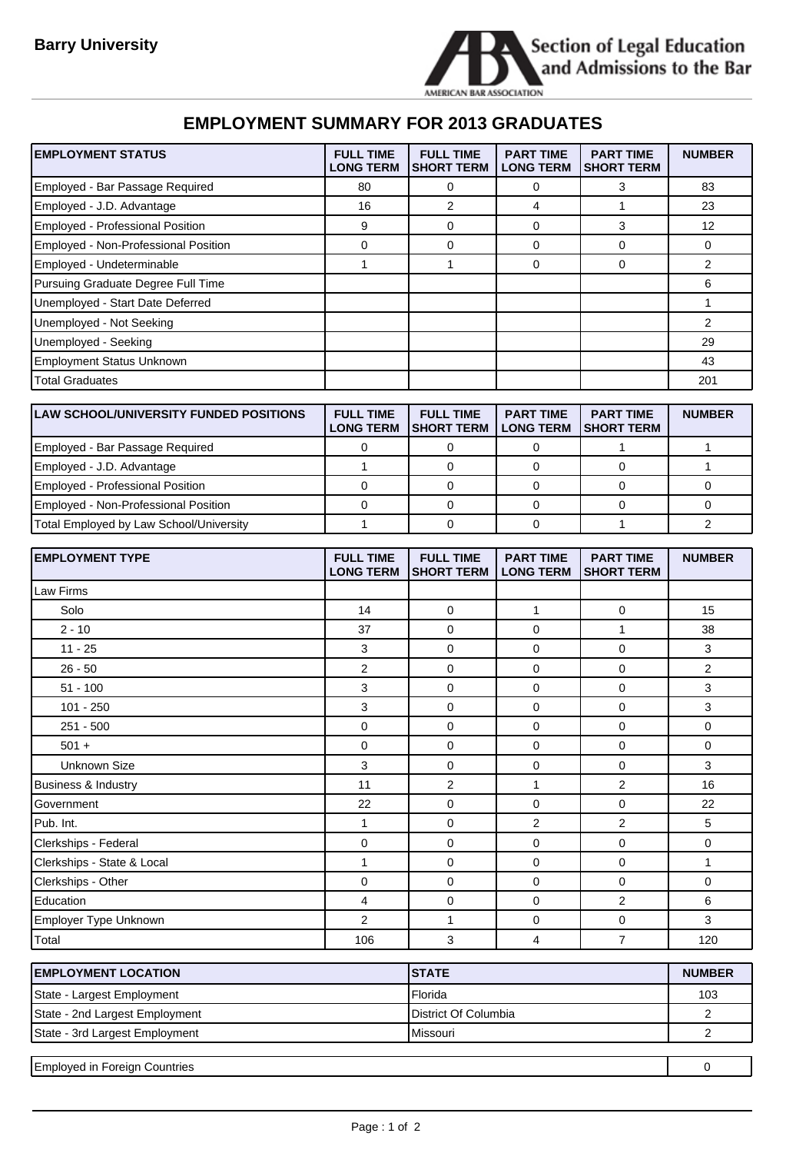

## **EMPLOYMENT SUMMARY FOR 2013 GRADUATES**

| <b>EMPLOYMENT STATUS</b>                      | <b>FULL TIME</b><br><b>LONG TERM</b> | <b>FULL TIME</b><br><b>SHORT TERM</b> | <b>PART TIME</b><br><b>LONG TERM</b> | <b>PART TIME</b><br><b>SHORT TERM</b> | <b>NUMBER</b> |
|-----------------------------------------------|--------------------------------------|---------------------------------------|--------------------------------------|---------------------------------------|---------------|
| Employed - Bar Passage Required               | 80                                   | 0                                     | 0                                    | 3                                     | 83            |
| Employed - J.D. Advantage                     | 16                                   | 2                                     | 4                                    | 1                                     | 23            |
| Employed - Professional Position              | 9                                    | 0                                     | $\mathbf 0$                          | 3                                     | 12            |
| Employed - Non-Professional Position          | 0                                    | 0                                     | 0                                    | 0                                     | 0             |
| Employed - Undeterminable                     | $\mathbf{1}$                         | 1                                     | 0                                    | 0                                     | 2             |
| Pursuing Graduate Degree Full Time            |                                      |                                       |                                      |                                       | 6             |
| Unemployed - Start Date Deferred              |                                      |                                       |                                      |                                       | 1             |
| Unemployed - Not Seeking                      |                                      |                                       |                                      |                                       | 2             |
| Unemployed - Seeking                          |                                      |                                       |                                      |                                       | 29            |
| Employment Status Unknown                     |                                      |                                       |                                      |                                       | 43            |
| <b>Total Graduates</b>                        |                                      |                                       |                                      |                                       | 201           |
|                                               |                                      |                                       |                                      |                                       |               |
| <b>LAW SCHOOL/UNIVERSITY FUNDED POSITIONS</b> | <b>FULL TIME</b><br><b>LONG TERM</b> | <b>FULL TIME</b><br><b>SHORT TERM</b> | <b>PART TIME</b><br><b>LONG TERM</b> | <b>PART TIME</b><br><b>SHORT TERM</b> | <b>NUMBER</b> |
| Employed - Bar Passage Required               | 0                                    | 0                                     | 0                                    | 1                                     | 1             |
| Employed - J.D. Advantage                     | $\mathbf{1}$                         | 0                                     | $\mathbf 0$                          | 0                                     | $\mathbf{1}$  |
| Employed - Professional Position              | 0                                    | 0                                     | 0                                    | 0                                     | 0             |
| Employed - Non-Professional Position          | 0                                    | 0                                     | 0                                    | 0                                     | $\mathbf 0$   |
| Total Employed by Law School/University       | 1                                    | 0                                     | 0                                    | 1                                     | 2             |
|                                               |                                      |                                       |                                      |                                       |               |
| <b>EMPLOYMENT TYPE</b>                        | <b>FULL TIME</b>                     | <b>FULL TIME</b>                      | <b>PART TIME</b>                     | <b>PART TIME</b>                      | <b>NUMBER</b> |
|                                               | <b>LONG TERM</b>                     | <b>SHORT TERM</b>                     | <b>LONG TERM</b>                     | <b>SHORT TERM</b>                     |               |
| Law Firms                                     |                                      |                                       |                                      |                                       |               |
| Solo                                          | 14                                   | 0                                     | $\mathbf{1}$                         | 0                                     | 15            |
| $2 - 10$                                      | 37                                   | 0                                     | 0                                    | 1                                     | 38            |
| $11 - 25$                                     | 3                                    | 0                                     | 0                                    | 0                                     | 3             |
| $26 - 50$                                     | 2                                    | 0                                     | 0                                    | 0                                     | 2             |
| $51 - 100$                                    | 3                                    | 0                                     | 0                                    | 0                                     | 3             |
| $101 - 250$                                   | 3                                    | 0                                     | 0                                    | 0                                     | 3             |
| 251 - 500                                     | 0                                    | 0                                     | 0                                    | 0                                     | 0             |
| $501 +$                                       | $\mathbf 0$                          | 0                                     | 0                                    | 0                                     | 0             |
| <b>Unknown Size</b>                           | 3                                    | 0                                     | 0                                    | 0                                     | 3             |
| Business & Industry                           | 11                                   | $\overline{2}$                        | 1                                    | $\overline{2}$                        | 16            |
| Government                                    | 22                                   | 0                                     | 0                                    | 0                                     | 22            |
| Pub. Int.                                     | $\mathbf{1}$                         | 0                                     | $\overline{2}$                       | $\overline{2}$                        | 5             |
| Clerkships - Federal                          | 0                                    | 0                                     | $\pmb{0}$                            | 0                                     | $\mathbf 0$   |
| Clerkships - State & Local                    | $\mathbf{1}$                         | 0                                     | $\mathsf 0$                          | 0                                     | $\mathbf{1}$  |
| Clerkships - Other                            | 0                                    | 0                                     | $\mathsf 0$                          | 0                                     | $\pmb{0}$     |
| Education                                     | $\overline{\mathbf{4}}$              | 0                                     | $\pmb{0}$                            | $\overline{2}$                        | 6             |
| Employer Type Unknown<br>Total                | $\overline{c}$<br>106                | 1<br>3                                | $\pmb{0}$<br>$\overline{\mathbf{4}}$ | 0<br>$\overline{7}$                   | 3<br>120      |

| <b>EMPLOYMENT LOCATION</b>           | <b>ISTATE</b>        | <b>NUMBER</b> |
|--------------------------------------|----------------------|---------------|
| State - Largest Employment           | Florida              | 103           |
| State - 2nd Largest Employment       | District Of Columbia |               |
| State - 3rd Largest Employment       | Missouri             |               |
|                                      |                      |               |
| <b>Employed in Foreign Countries</b> |                      |               |